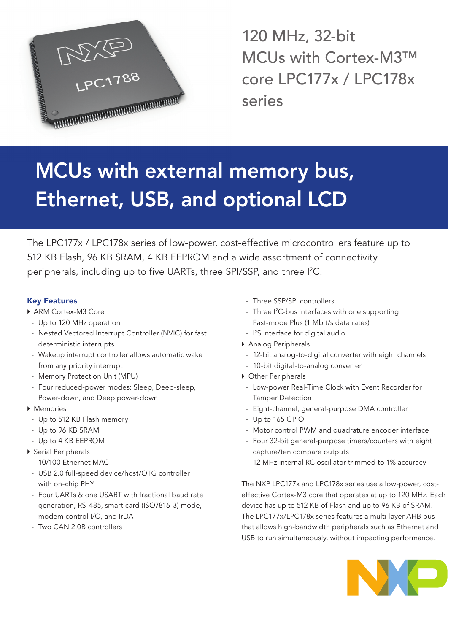

120 MHz, 32-bit MCUs with Cortex-M3™ core LPC177x / LPC178x series

# MCUs with external memory bus, Ethernet, USB, and optional LCD

The LPC177x / LPC178x series of low-power, cost-effective microcontrollers feature up to 512 KB Flash, 96 KB SRAM, 4 KB EEPROM and a wide assortment of connectivity peripherals, including up to five UARTs, three SPI/SSP, and three I 2 C.

# Key Features

- ▶ ARM Cortex-M3 Core
- Up to 120 MHz operation
- Nested Vectored Interrupt Controller (NVIC) for fast deterministic interrupts
- Wakeup interrupt controller allows automatic wake from any priority interrupt
- Memory Protection Unit (MPU)
- Four reduced-power modes: Sleep, Deep-sleep, Power-down, and Deep power-down
- ▶ Memories
- Up to 512 KB Flash memory
- Up to 96 KB SRAM
- Up to 4 KB EEPROM
- ▶ Serial Peripherals
- 10/100 Ethernet MAC
- USB 2.0 full-speed device/host/OTG controller with on-chip PHY
- Four UARTs & one USART with fractional baud rate generation, RS-485, smart card (ISO7816-3) mode, modem control I/O, and IrDA
- Two CAN 2.0B controllers
- Three SSP/SPI controllers
- Three I<sup>2</sup>C-bus interfaces with one supporting Fast-mode Plus (1 Mbit/s data rates)
- I<sup>2</sup>S interface for digital audio
- ▶ Analog Peripherals
- 12-bit analog-to-digital converter with eight channels
- 10-bit digital-to-analog converter
- ▶ Other Peripherals
- Low-power Real-Time Clock with Event Recorder for Tamper Detection
- Eight-channel, general-purpose DMA controller
- Up to 165 GPIO
- Motor control PWM and quadrature encoder interface
- Four 32-bit general-purpose timers/counters with eight capture/ten compare outputs
- 12 MHz internal RC oscillator trimmed to 1% accuracy

The NXP LPC177x and LPC178x series use a low-power, costeffective Cortex-M3 core that operates at up to 120 MHz. Each device has up to 512 KB of Flash and up to 96 KB of SRAM. The LPC177x/LPC178x series features a multi-layer AHB bus that allows high-bandwidth peripherals such as Ethernet and USB to run simultaneously, without impacting performance.